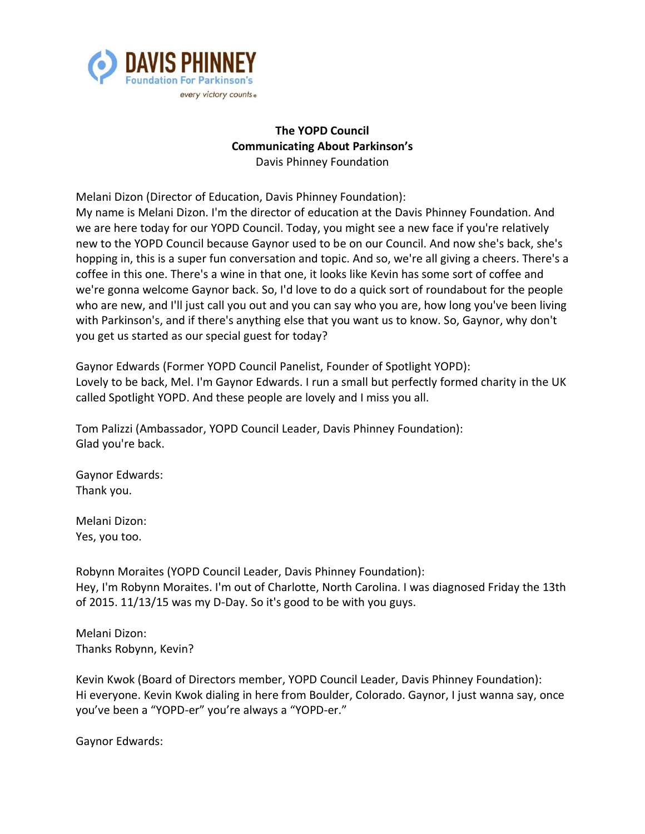

# **The YOPD Council Communicating About Parkinson's** Davis Phinney Foundation

Melani Dizon (Director of Education, Davis Phinney Foundation): My name is Melani Dizon. I'm the director of education at the Davis Phinney Foundation. And we are here today for our YOPD Council. Today, you might see a new face if you're relatively new to the YOPD Council because Gaynor used to be on our Council. And now she's back, she's hopping in, this is a super fun conversation and topic. And so, we're all giving a cheers. There's a coffee in this one. There's a wine in that one, it looks like Kevin has some sort of coffee and we're gonna welcome Gaynor back. So, I'd love to do a quick sort of roundabout for the people who are new, and I'll just call you out and you can say who you are, how long you've been living with Parkinson's, and if there's anything else that you want us to know. So, Gaynor, why don't you get us started as our special guest for today?

Gaynor Edwards (Former YOPD Council Panelist, Founder of Spotlight YOPD): Lovely to be back, Mel. I'm Gaynor Edwards. I run a small but perfectly formed charity in the UK called Spotlight YOPD. And these people are lovely and I miss you all.

Tom Palizzi (Ambassador, YOPD Council Leader, Davis Phinney Foundation): Glad you're back.

Gaynor Edwards: Thank you.

Melani Dizon: Yes, you too.

Robynn Moraites (YOPD Council Leader, Davis Phinney Foundation): Hey, I'm Robynn Moraites. I'm out of Charlotte, North Carolina. I was diagnosed Friday the 13th of 2015. 11/13/15 was my D-Day. So it's good to be with you guys.

Melani Dizon: Thanks Robynn, Kevin?

Kevin Kwok (Board of Directors member, YOPD Council Leader, Davis Phinney Foundation): Hi everyone. Kevin Kwok dialing in here from Boulder, Colorado. Gaynor, I just wanna say, once you've been a "YOPD-er" you're always a "YOPD-er."

Gaynor Edwards: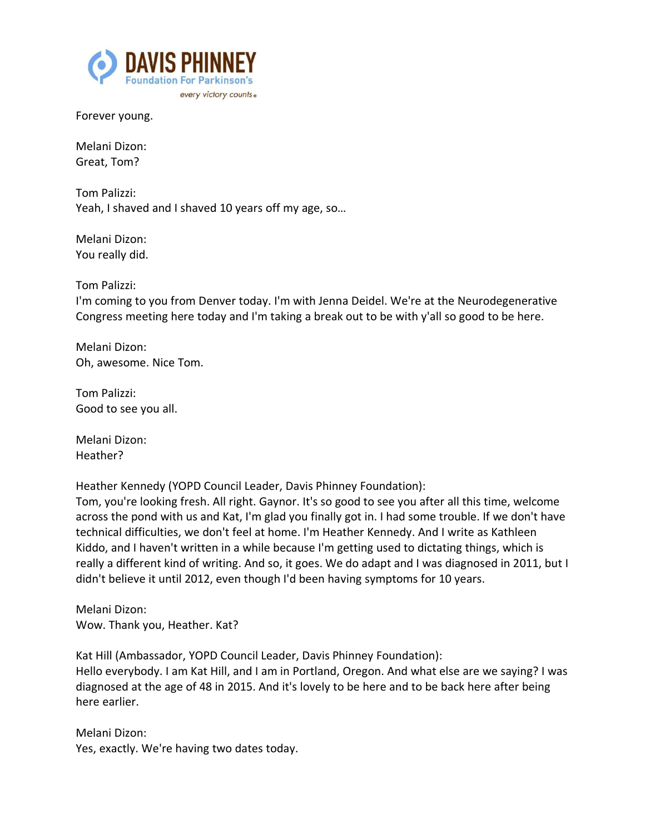

Forever young.

Melani Dizon: Great, Tom?

Tom Palizzi: Yeah, I shaved and I shaved 10 years off my age, so…

Melani Dizon: You really did.

Tom Palizzi:

I'm coming to you from Denver today. I'm with Jenna Deidel. We're at the Neurodegenerative Congress meeting here today and I'm taking a break out to be with y'all so good to be here.

Melani Dizon: Oh, awesome. Nice Tom.

Tom Palizzi: Good to see you all.

Melani Dizon: Heather?

Heather Kennedy (YOPD Council Leader, Davis Phinney Foundation):

Tom, you're looking fresh. All right. Gaynor. It's so good to see you after all this time, welcome across the pond with us and Kat, I'm glad you finally got in. I had some trouble. If we don't have technical difficulties, we don't feel at home. I'm Heather Kennedy. And I write as Kathleen Kiddo, and I haven't written in a while because I'm getting used to dictating things, which is really a different kind of writing. And so, it goes. We do adapt and I was diagnosed in 2011, but I didn't believe it until 2012, even though I'd been having symptoms for 10 years.

Melani Dizon: Wow. Thank you, Heather. Kat?

Kat Hill (Ambassador, YOPD Council Leader, Davis Phinney Foundation): Hello everybody. I am Kat Hill, and I am in Portland, Oregon. And what else are we saying? I was diagnosed at the age of 48 in 2015. And it's lovely to be here and to be back here after being here earlier.

Melani Dizon: Yes, exactly. We're having two dates today.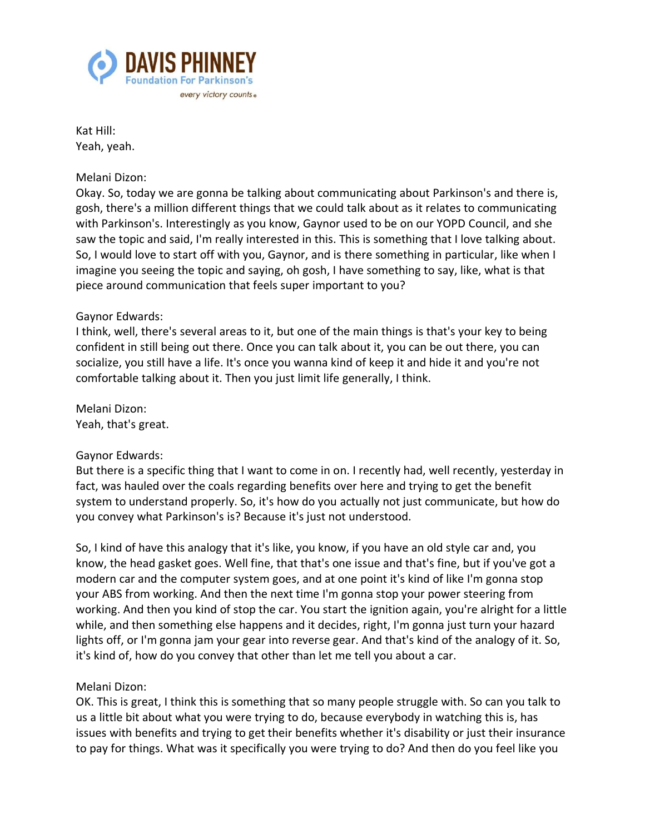

Kat Hill: Yeah, yeah.

## Melani Dizon:

Okay. So, today we are gonna be talking about communicating about Parkinson's and there is, gosh, there's a million different things that we could talk about as it relates to communicating with Parkinson's. Interestingly as you know, Gaynor used to be on our YOPD Council, and she saw the topic and said, I'm really interested in this. This is something that I love talking about. So, I would love to start off with you, Gaynor, and is there something in particular, like when I imagine you seeing the topic and saying, oh gosh, I have something to say, like, what is that piece around communication that feels super important to you?

## Gaynor Edwards:

I think, well, there's several areas to it, but one of the main things is that's your key to being confident in still being out there. Once you can talk about it, you can be out there, you can socialize, you still have a life. It's once you wanna kind of keep it and hide it and you're not comfortable talking about it. Then you just limit life generally, I think.

Melani Dizon: Yeah, that's great.

## Gaynor Edwards:

But there is a specific thing that I want to come in on. I recently had, well recently, yesterday in fact, was hauled over the coals regarding benefits over here and trying to get the benefit system to understand properly. So, it's how do you actually not just communicate, but how do you convey what Parkinson's is? Because it's just not understood.

So, I kind of have this analogy that it's like, you know, if you have an old style car and, you know, the head gasket goes. Well fine, that that's one issue and that's fine, but if you've got a modern car and the computer system goes, and at one point it's kind of like I'm gonna stop your ABS from working. And then the next time I'm gonna stop your power steering from working. And then you kind of stop the car. You start the ignition again, you're alright for a little while, and then something else happens and it decides, right, I'm gonna just turn your hazard lights off, or I'm gonna jam your gear into reverse gear. And that's kind of the analogy of it. So, it's kind of, how do you convey that other than let me tell you about a car.

## Melani Dizon:

OK. This is great, I think this is something that so many people struggle with. So can you talk to us a little bit about what you were trying to do, because everybody in watching this is, has issues with benefits and trying to get their benefits whether it's disability or just their insurance to pay for things. What was it specifically you were trying to do? And then do you feel like you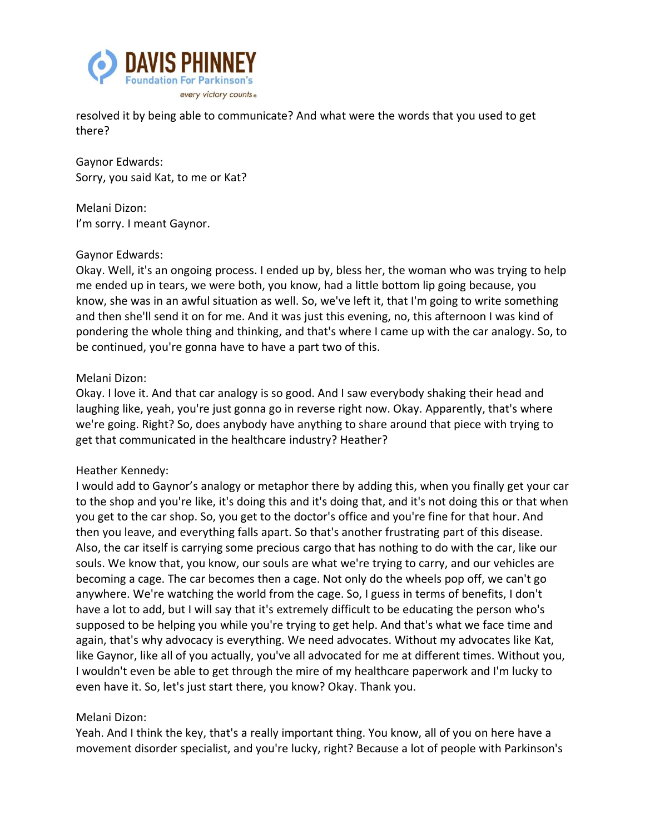

resolved it by being able to communicate? And what were the words that you used to get there?

Gaynor Edwards: Sorry, you said Kat, to me or Kat?

Melani Dizon: I'm sorry. I meant Gaynor.

## Gaynor Edwards:

Okay. Well, it's an ongoing process. I ended up by, bless her, the woman who was trying to help me ended up in tears, we were both, you know, had a little bottom lip going because, you know, she was in an awful situation as well. So, we've left it, that I'm going to write something and then she'll send it on for me. And it was just this evening, no, this afternoon I was kind of pondering the whole thing and thinking, and that's where I came up with the car analogy. So, to be continued, you're gonna have to have a part two of this.

## Melani Dizon:

Okay. I love it. And that car analogy is so good. And I saw everybody shaking their head and laughing like, yeah, you're just gonna go in reverse right now. Okay. Apparently, that's where we're going. Right? So, does anybody have anything to share around that piece with trying to get that communicated in the healthcare industry? Heather?

# Heather Kennedy:

I would add to Gaynor's analogy or metaphor there by adding this, when you finally get your car to the shop and you're like, it's doing this and it's doing that, and it's not doing this or that when you get to the car shop. So, you get to the doctor's office and you're fine for that hour. And then you leave, and everything falls apart. So that's another frustrating part of this disease. Also, the car itself is carrying some precious cargo that has nothing to do with the car, like our souls. We know that, you know, our souls are what we're trying to carry, and our vehicles are becoming a cage. The car becomes then a cage. Not only do the wheels pop off, we can't go anywhere. We're watching the world from the cage. So, I guess in terms of benefits, I don't have a lot to add, but I will say that it's extremely difficult to be educating the person who's supposed to be helping you while you're trying to get help. And that's what we face time and again, that's why advocacy is everything. We need advocates. Without my advocates like Kat, like Gaynor, like all of you actually, you've all advocated for me at different times. Without you, I wouldn't even be able to get through the mire of my healthcare paperwork and I'm lucky to even have it. So, let's just start there, you know? Okay. Thank you.

## Melani Dizon:

Yeah. And I think the key, that's a really important thing. You know, all of you on here have a movement disorder specialist, and you're lucky, right? Because a lot of people with Parkinson's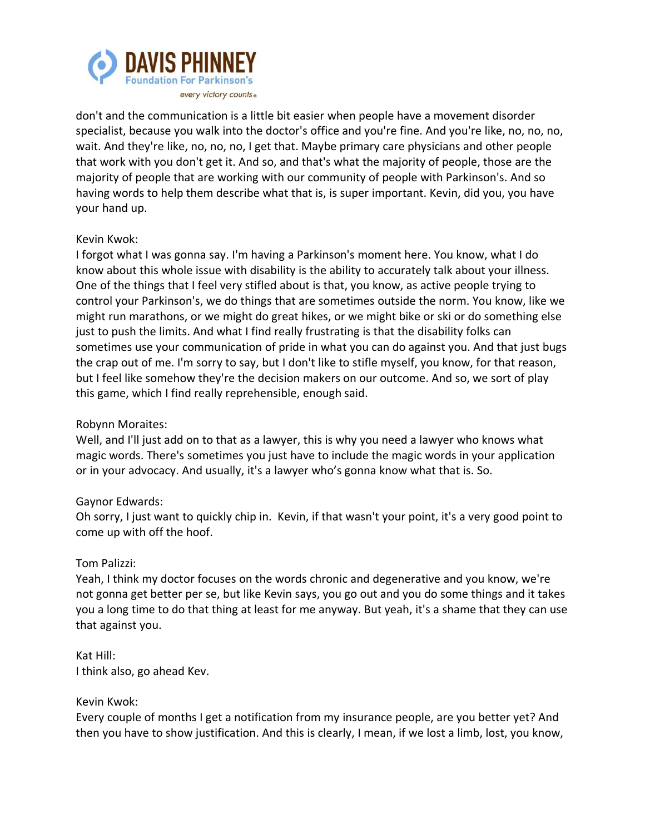

don't and the communication is a little bit easier when people have a movement disorder specialist, because you walk into the doctor's office and you're fine. And you're like, no, no, no, wait. And they're like, no, no, no, I get that. Maybe primary care physicians and other people that work with you don't get it. And so, and that's what the majority of people, those are the majority of people that are working with our community of people with Parkinson's. And so having words to help them describe what that is, is super important. Kevin, did you, you have your hand up.

## Kevin Kwok:

I forgot what I was gonna say. I'm having a Parkinson's moment here. You know, what I do know about this whole issue with disability is the ability to accurately talk about your illness. One of the things that I feel very stifled about is that, you know, as active people trying to control your Parkinson's, we do things that are sometimes outside the norm. You know, like we might run marathons, or we might do great hikes, or we might bike or ski or do something else just to push the limits. And what I find really frustrating is that the disability folks can sometimes use your communication of pride in what you can do against you. And that just bugs the crap out of me. I'm sorry to say, but I don't like to stifle myself, you know, for that reason, but I feel like somehow they're the decision makers on our outcome. And so, we sort of play this game, which I find really reprehensible, enough said.

# Robynn Moraites:

Well, and I'll just add on to that as a lawyer, this is why you need a lawyer who knows what magic words. There's sometimes you just have to include the magic words in your application or in your advocacy. And usually, it's a lawyer who's gonna know what that is. So.

# Gaynor Edwards:

Oh sorry, I just want to quickly chip in. Kevin, if that wasn't your point, it's a very good point to come up with off the hoof.

## Tom Palizzi:

Yeah, I think my doctor focuses on the words chronic and degenerative and you know, we're not gonna get better per se, but like Kevin says, you go out and you do some things and it takes you a long time to do that thing at least for me anyway. But yeah, it's a shame that they can use that against you.

## Kat Hill: I think also, go ahead Kev.

## Kevin Kwok:

Every couple of months I get a notification from my insurance people, are you better yet? And then you have to show justification. And this is clearly, I mean, if we lost a limb, lost, you know,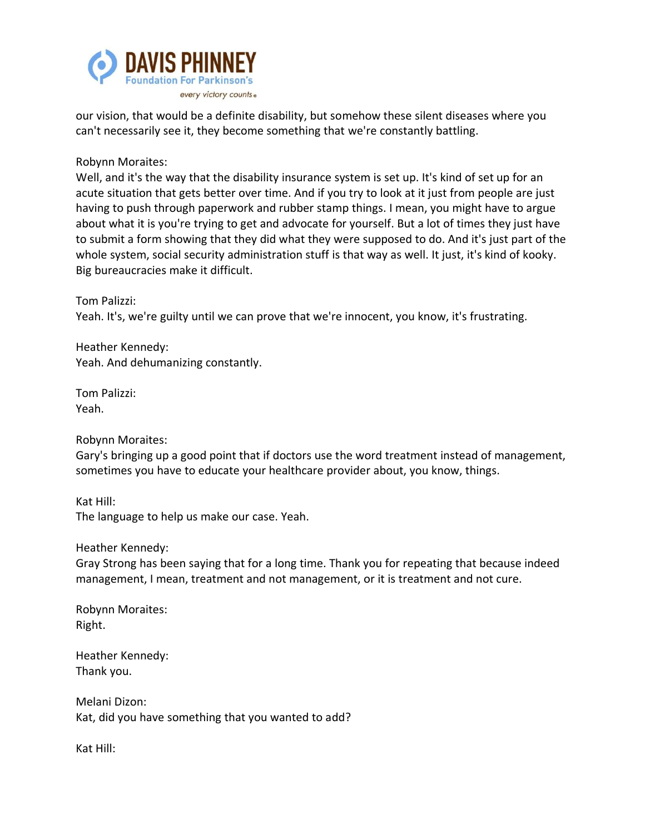

our vision, that would be a definite disability, but somehow these silent diseases where you can't necessarily see it, they become something that we're constantly battling.

Robynn Moraites:

Well, and it's the way that the disability insurance system is set up. It's kind of set up for an acute situation that gets better over time. And if you try to look at it just from people are just having to push through paperwork and rubber stamp things. I mean, you might have to argue about what it is you're trying to get and advocate for yourself. But a lot of times they just have to submit a form showing that they did what they were supposed to do. And it's just part of the whole system, social security administration stuff is that way as well. It just, it's kind of kooky. Big bureaucracies make it difficult.

Tom Palizzi: Yeah. It's, we're guilty until we can prove that we're innocent, you know, it's frustrating.

Heather Kennedy: Yeah. And dehumanizing constantly.

Tom Palizzi: Yeah.

Robynn Moraites:

Gary's bringing up a good point that if doctors use the word treatment instead of management, sometimes you have to educate your healthcare provider about, you know, things.

Kat Hill: The language to help us make our case. Yeah.

Heather Kennedy:

Gray Strong has been saying that for a long time. Thank you for repeating that because indeed management, I mean, treatment and not management, or it is treatment and not cure.

Robynn Moraites: Right.

Heather Kennedy: Thank you.

Melani Dizon: Kat, did you have something that you wanted to add?

Kat Hill: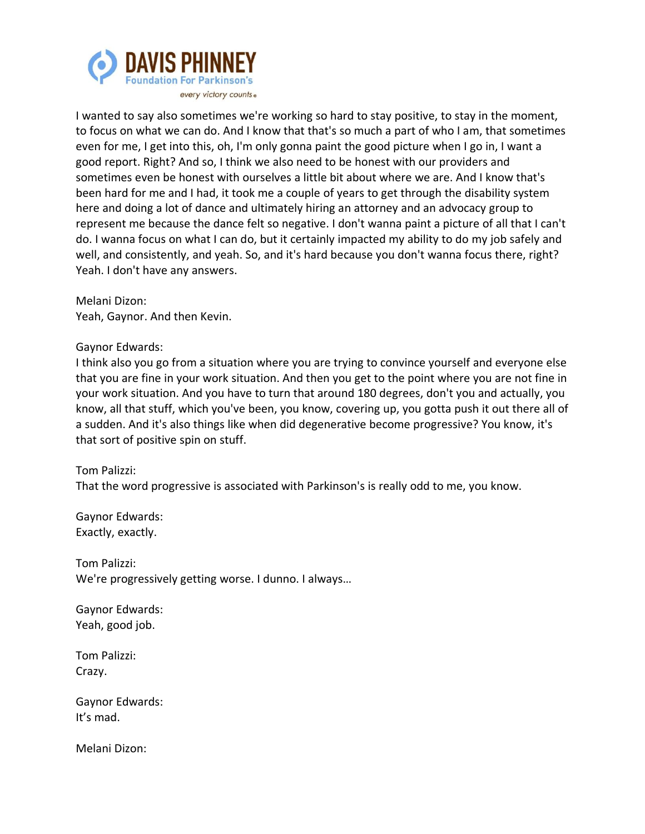

I wanted to say also sometimes we're working so hard to stay positive, to stay in the moment, to focus on what we can do. And I know that that's so much a part of who I am, that sometimes even for me, I get into this, oh, I'm only gonna paint the good picture when I go in, I want a good report. Right? And so, I think we also need to be honest with our providers and sometimes even be honest with ourselves a little bit about where we are. And I know that's been hard for me and I had, it took me a couple of years to get through the disability system here and doing a lot of dance and ultimately hiring an attorney and an advocacy group to represent me because the dance felt so negative. I don't wanna paint a picture of all that I can't do. I wanna focus on what I can do, but it certainly impacted my ability to do my job safely and well, and consistently, and yeah. So, and it's hard because you don't wanna focus there, right? Yeah. I don't have any answers.

Melani Dizon: Yeah, Gaynor. And then Kevin.

## Gaynor Edwards:

I think also you go from a situation where you are trying to convince yourself and everyone else that you are fine in your work situation. And then you get to the point where you are not fine in your work situation. And you have to turn that around 180 degrees, don't you and actually, you know, all that stuff, which you've been, you know, covering up, you gotta push it out there all of a sudden. And it's also things like when did degenerative become progressive? You know, it's that sort of positive spin on stuff.

## Tom Palizzi:

That the word progressive is associated with Parkinson's is really odd to me, you know.

Gaynor Edwards: Exactly, exactly.

Tom Palizzi: We're progressively getting worse. I dunno. I always…

Gaynor Edwards: Yeah, good job.

Tom Palizzi: Crazy.

Gaynor Edwards: It's mad.

Melani Dizon: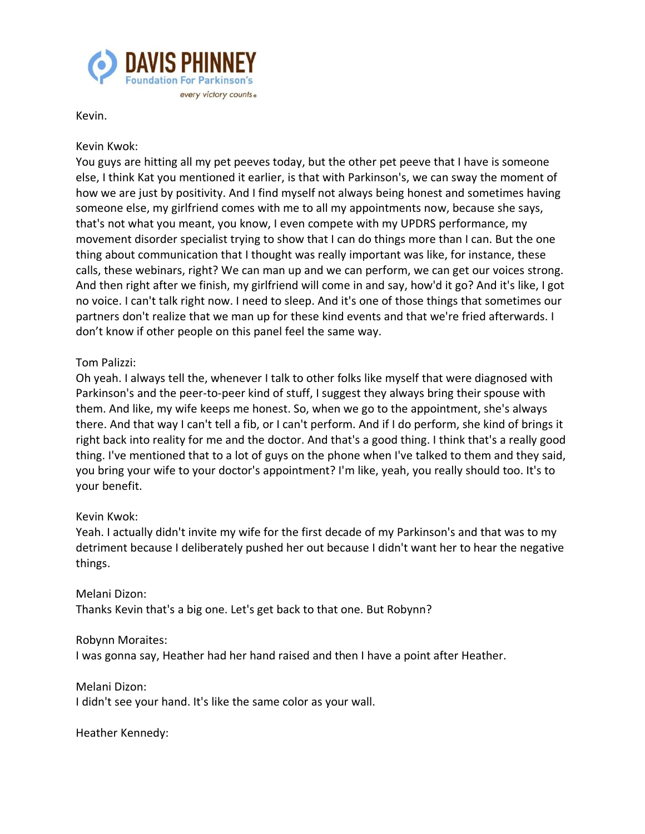

Kevin.

## Kevin Kwok:

You guys are hitting all my pet peeves today, but the other pet peeve that I have is someone else, I think Kat you mentioned it earlier, is that with Parkinson's, we can sway the moment of how we are just by positivity. And I find myself not always being honest and sometimes having someone else, my girlfriend comes with me to all my appointments now, because she says, that's not what you meant, you know, I even compete with my UPDRS performance, my movement disorder specialist trying to show that I can do things more than I can. But the one thing about communication that I thought was really important was like, for instance, these calls, these webinars, right? We can man up and we can perform, we can get our voices strong. And then right after we finish, my girlfriend will come in and say, how'd it go? And it's like, I got no voice. I can't talk right now. I need to sleep. And it's one of those things that sometimes our partners don't realize that we man up for these kind events and that we're fried afterwards. I don't know if other people on this panel feel the same way.

## Tom Palizzi:

Oh yeah. I always tell the, whenever I talk to other folks like myself that were diagnosed with Parkinson's and the peer-to-peer kind of stuff, I suggest they always bring their spouse with them. And like, my wife keeps me honest. So, when we go to the appointment, she's always there. And that way I can't tell a fib, or I can't perform. And if I do perform, she kind of brings it right back into reality for me and the doctor. And that's a good thing. I think that's a really good thing. I've mentioned that to a lot of guys on the phone when I've talked to them and they said, you bring your wife to your doctor's appointment? I'm like, yeah, you really should too. It's to your benefit.

## Kevin Kwok:

Yeah. I actually didn't invite my wife for the first decade of my Parkinson's and that was to my detriment because I deliberately pushed her out because I didn't want her to hear the negative things.

Melani Dizon: Thanks Kevin that's a big one. Let's get back to that one. But Robynn?

Robynn Moraites:

I was gonna say, Heather had her hand raised and then I have a point after Heather.

Melani Dizon: I didn't see your hand. It's like the same color as your wall.

Heather Kennedy: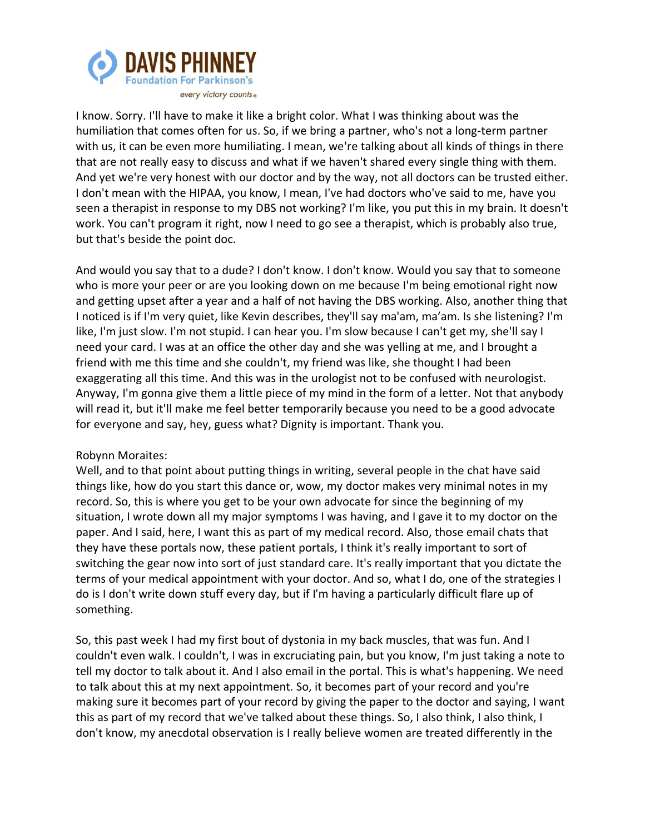

I know. Sorry. I'll have to make it like a bright color. What I was thinking about was the humiliation that comes often for us. So, if we bring a partner, who's not a long-term partner with us, it can be even more humiliating. I mean, we're talking about all kinds of things in there that are not really easy to discuss and what if we haven't shared every single thing with them. And yet we're very honest with our doctor and by the way, not all doctors can be trusted either. I don't mean with the HIPAA, you know, I mean, I've had doctors who've said to me, have you seen a therapist in response to my DBS not working? I'm like, you put this in my brain. It doesn't work. You can't program it right, now I need to go see a therapist, which is probably also true, but that's beside the point doc.

And would you say that to a dude? I don't know. I don't know. Would you say that to someone who is more your peer or are you looking down on me because I'm being emotional right now and getting upset after a year and a half of not having the DBS working. Also, another thing that I noticed is if I'm very quiet, like Kevin describes, they'll say ma'am, ma'am. Is she listening? I'm like, I'm just slow. I'm not stupid. I can hear you. I'm slow because I can't get my, she'll say I need your card. I was at an office the other day and she was yelling at me, and I brought a friend with me this time and she couldn't, my friend was like, she thought I had been exaggerating all this time. And this was in the urologist not to be confused with neurologist. Anyway, I'm gonna give them a little piece of my mind in the form of a letter. Not that anybody will read it, but it'll make me feel better temporarily because you need to be a good advocate for everyone and say, hey, guess what? Dignity is important. Thank you.

# Robynn Moraites:

Well, and to that point about putting things in writing, several people in the chat have said things like, how do you start this dance or, wow, my doctor makes very minimal notes in my record. So, this is where you get to be your own advocate for since the beginning of my situation, I wrote down all my major symptoms I was having, and I gave it to my doctor on the paper. And I said, here, I want this as part of my medical record. Also, those email chats that they have these portals now, these patient portals, I think it's really important to sort of switching the gear now into sort of just standard care. It's really important that you dictate the terms of your medical appointment with your doctor. And so, what I do, one of the strategies I do is I don't write down stuff every day, but if I'm having a particularly difficult flare up of something.

So, this past week I had my first bout of dystonia in my back muscles, that was fun. And I couldn't even walk. I couldn't, I was in excruciating pain, but you know, I'm just taking a note to tell my doctor to talk about it. And I also email in the portal. This is what's happening. We need to talk about this at my next appointment. So, it becomes part of your record and you're making sure it becomes part of your record by giving the paper to the doctor and saying, I want this as part of my record that we've talked about these things. So, I also think, I also think, I don't know, my anecdotal observation is I really believe women are treated differently in the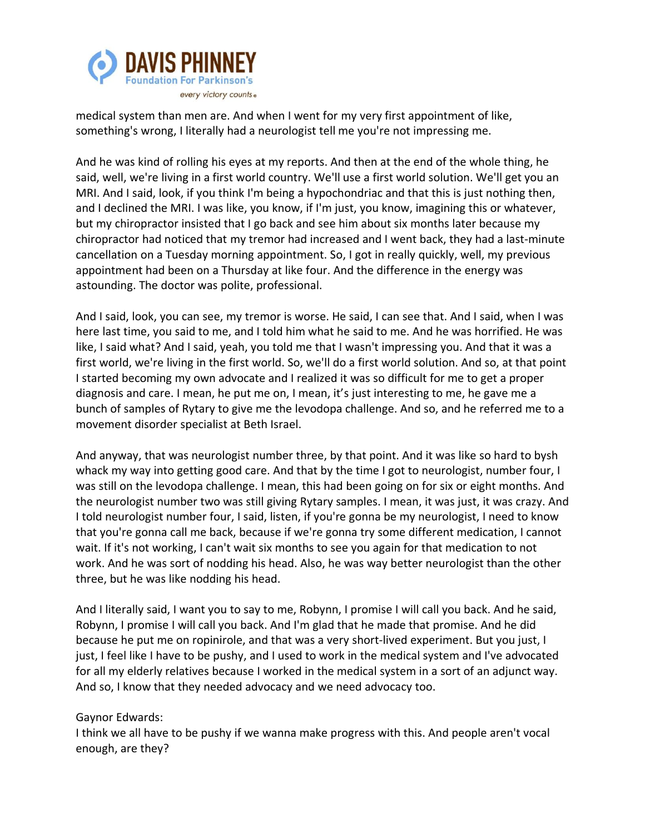

medical system than men are. And when I went for my very first appointment of like, something's wrong, I literally had a neurologist tell me you're not impressing me.

And he was kind of rolling his eyes at my reports. And then at the end of the whole thing, he said, well, we're living in a first world country. We'll use a first world solution. We'll get you an MRI. And I said, look, if you think I'm being a hypochondriac and that this is just nothing then, and I declined the MRI. I was like, you know, if I'm just, you know, imagining this or whatever, but my chiropractor insisted that I go back and see him about six months later because my chiropractor had noticed that my tremor had increased and I went back, they had a last-minute cancellation on a Tuesday morning appointment. So, I got in really quickly, well, my previous appointment had been on a Thursday at like four. And the difference in the energy was astounding. The doctor was polite, professional.

And I said, look, you can see, my tremor is worse. He said, I can see that. And I said, when I was here last time, you said to me, and I told him what he said to me. And he was horrified. He was like, I said what? And I said, yeah, you told me that I wasn't impressing you. And that it was a first world, we're living in the first world. So, we'll do a first world solution. And so, at that point I started becoming my own advocate and I realized it was so difficult for me to get a proper diagnosis and care. I mean, he put me on, I mean, it's just interesting to me, he gave me a bunch of samples of Rytary to give me the levodopa challenge. And so, and he referred me to a movement disorder specialist at Beth Israel.

And anyway, that was neurologist number three, by that point. And it was like so hard to bysh whack my way into getting good care. And that by the time I got to neurologist, number four, I was still on the levodopa challenge. I mean, this had been going on for six or eight months. And the neurologist number two was still giving Rytary samples. I mean, it was just, it was crazy. And I told neurologist number four, I said, listen, if you're gonna be my neurologist, I need to know that you're gonna call me back, because if we're gonna try some different medication, I cannot wait. If it's not working, I can't wait six months to see you again for that medication to not work. And he was sort of nodding his head. Also, he was way better neurologist than the other three, but he was like nodding his head.

And I literally said, I want you to say to me, Robynn, I promise I will call you back. And he said, Robynn, I promise I will call you back. And I'm glad that he made that promise. And he did because he put me on ropinirole, and that was a very short-lived experiment. But you just, I just, I feel like I have to be pushy, and I used to work in the medical system and I've advocated for all my elderly relatives because I worked in the medical system in a sort of an adjunct way. And so, I know that they needed advocacy and we need advocacy too.

## Gaynor Edwards:

I think we all have to be pushy if we wanna make progress with this. And people aren't vocal enough, are they?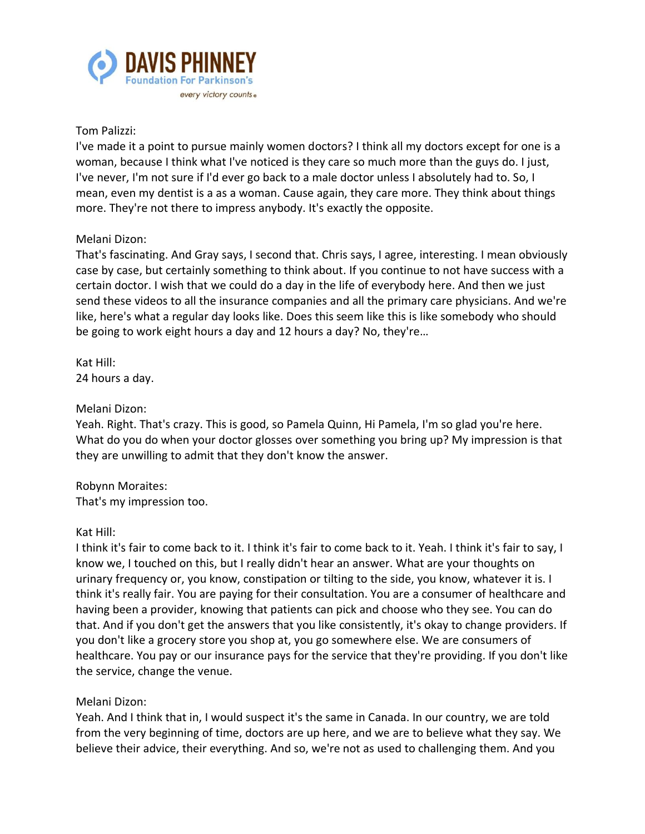

### Tom Palizzi:

I've made it a point to pursue mainly women doctors? I think all my doctors except for one is a woman, because I think what I've noticed is they care so much more than the guys do. I just, I've never, I'm not sure if I'd ever go back to a male doctor unless I absolutely had to. So, I mean, even my dentist is a as a woman. Cause again, they care more. They think about things more. They're not there to impress anybody. It's exactly the opposite.

## Melani Dizon:

That's fascinating. And Gray says, I second that. Chris says, I agree, interesting. I mean obviously case by case, but certainly something to think about. If you continue to not have success with a certain doctor. I wish that we could do a day in the life of everybody here. And then we just send these videos to all the insurance companies and all the primary care physicians. And we're like, here's what a regular day looks like. Does this seem like this is like somebody who should be going to work eight hours a day and 12 hours a day? No, they're…

Kat Hill: 24 hours a day.

#### Melani Dizon:

Yeah. Right. That's crazy. This is good, so Pamela Quinn, Hi Pamela, I'm so glad you're here. What do you do when your doctor glosses over something you bring up? My impression is that they are unwilling to admit that they don't know the answer.

# Robynn Moraites:

That's my impression too.

## Kat Hill:

I think it's fair to come back to it. I think it's fair to come back to it. Yeah. I think it's fair to say, I know we, I touched on this, but I really didn't hear an answer. What are your thoughts on urinary frequency or, you know, constipation or tilting to the side, you know, whatever it is. I think it's really fair. You are paying for their consultation. You are a consumer of healthcare and having been a provider, knowing that patients can pick and choose who they see. You can do that. And if you don't get the answers that you like consistently, it's okay to change providers. If you don't like a grocery store you shop at, you go somewhere else. We are consumers of healthcare. You pay or our insurance pays for the service that they're providing. If you don't like the service, change the venue.

## Melani Dizon:

Yeah. And I think that in, I would suspect it's the same in Canada. In our country, we are told from the very beginning of time, doctors are up here, and we are to believe what they say. We believe their advice, their everything. And so, we're not as used to challenging them. And you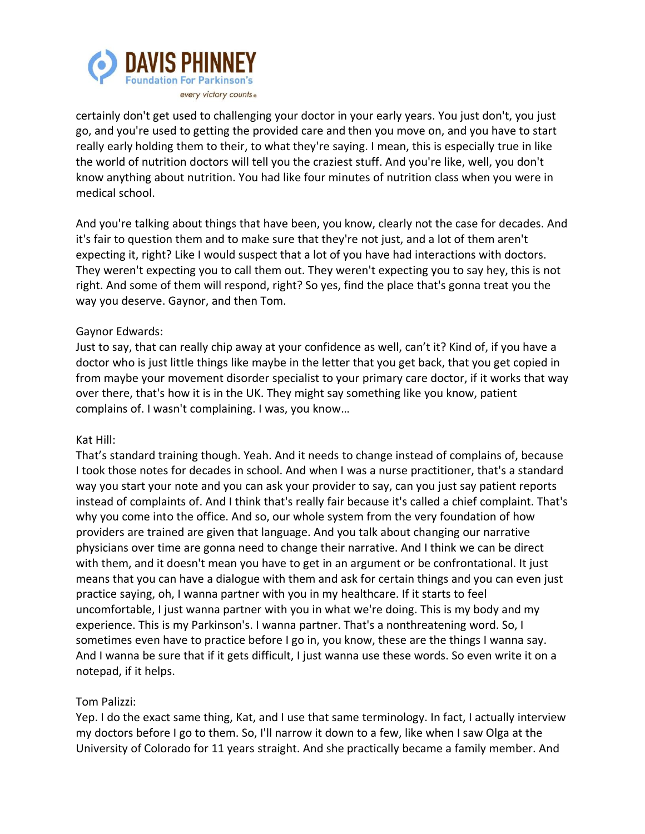

certainly don't get used to challenging your doctor in your early years. You just don't, you just go, and you're used to getting the provided care and then you move on, and you have to start really early holding them to their, to what they're saying. I mean, this is especially true in like the world of nutrition doctors will tell you the craziest stuff. And you're like, well, you don't know anything about nutrition. You had like four minutes of nutrition class when you were in medical school.

And you're talking about things that have been, you know, clearly not the case for decades. And it's fair to question them and to make sure that they're not just, and a lot of them aren't expecting it, right? Like I would suspect that a lot of you have had interactions with doctors. They weren't expecting you to call them out. They weren't expecting you to say hey, this is not right. And some of them will respond, right? So yes, find the place that's gonna treat you the way you deserve. Gaynor, and then Tom.

## Gaynor Edwards:

Just to say, that can really chip away at your confidence as well, can't it? Kind of, if you have a doctor who is just little things like maybe in the letter that you get back, that you get copied in from maybe your movement disorder specialist to your primary care doctor, if it works that way over there, that's how it is in the UK. They might say something like you know, patient complains of. I wasn't complaining. I was, you know…

## Kat Hill:

That's standard training though. Yeah. And it needs to change instead of complains of, because I took those notes for decades in school. And when I was a nurse practitioner, that's a standard way you start your note and you can ask your provider to say, can you just say patient reports instead of complaints of. And I think that's really fair because it's called a chief complaint. That's why you come into the office. And so, our whole system from the very foundation of how providers are trained are given that language. And you talk about changing our narrative physicians over time are gonna need to change their narrative. And I think we can be direct with them, and it doesn't mean you have to get in an argument or be confrontational. It just means that you can have a dialogue with them and ask for certain things and you can even just practice saying, oh, I wanna partner with you in my healthcare. If it starts to feel uncomfortable, I just wanna partner with you in what we're doing. This is my body and my experience. This is my Parkinson's. I wanna partner. That's a nonthreatening word. So, I sometimes even have to practice before I go in, you know, these are the things I wanna say. And I wanna be sure that if it gets difficult, I just wanna use these words. So even write it on a notepad, if it helps.

# Tom Palizzi:

Yep. I do the exact same thing, Kat, and I use that same terminology. In fact, I actually interview my doctors before I go to them. So, I'll narrow it down to a few, like when I saw Olga at the University of Colorado for 11 years straight. And she practically became a family member. And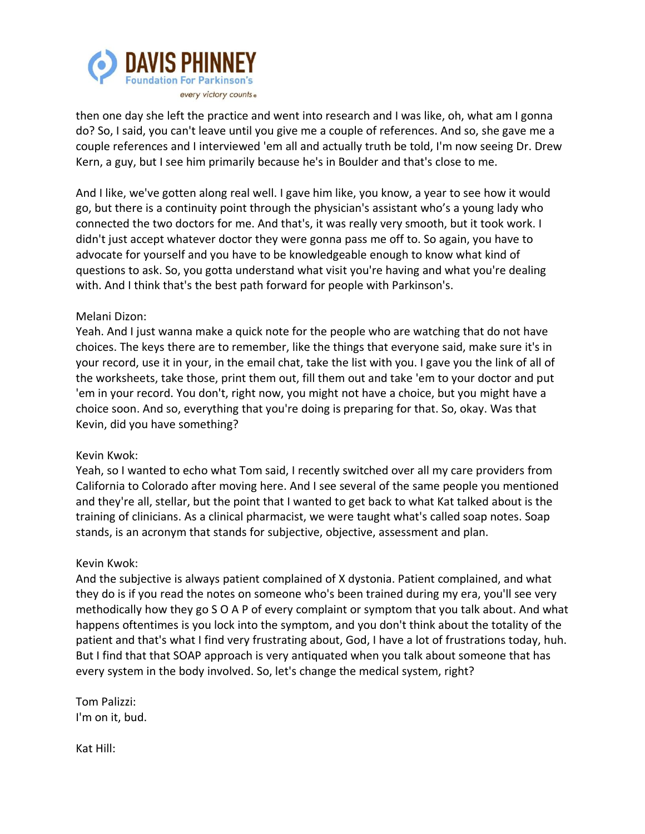

then one day she left the practice and went into research and I was like, oh, what am I gonna do? So, I said, you can't leave until you give me a couple of references. And so, she gave me a couple references and I interviewed 'em all and actually truth be told, I'm now seeing Dr. Drew Kern, a guy, but I see him primarily because he's in Boulder and that's close to me.

And I like, we've gotten along real well. I gave him like, you know, a year to see how it would go, but there is a continuity point through the physician's assistant who's a young lady who connected the two doctors for me. And that's, it was really very smooth, but it took work. I didn't just accept whatever doctor they were gonna pass me off to. So again, you have to advocate for yourself and you have to be knowledgeable enough to know what kind of questions to ask. So, you gotta understand what visit you're having and what you're dealing with. And I think that's the best path forward for people with Parkinson's.

## Melani Dizon:

Yeah. And I just wanna make a quick note for the people who are watching that do not have choices. The keys there are to remember, like the things that everyone said, make sure it's in your record, use it in your, in the email chat, take the list with you. I gave you the link of all of the worksheets, take those, print them out, fill them out and take 'em to your doctor and put 'em in your record. You don't, right now, you might not have a choice, but you might have a choice soon. And so, everything that you're doing is preparing for that. So, okay. Was that Kevin, did you have something?

#### Kevin Kwok:

Yeah, so I wanted to echo what Tom said, I recently switched over all my care providers from California to Colorado after moving here. And I see several of the same people you mentioned and they're all, stellar, but the point that I wanted to get back to what Kat talked about is the training of clinicians. As a clinical pharmacist, we were taught what's called soap notes. Soap stands, is an acronym that stands for subjective, objective, assessment and plan.

#### Kevin Kwok:

And the subjective is always patient complained of X dystonia. Patient complained, and what they do is if you read the notes on someone who's been trained during my era, you'll see very methodically how they go S O A P of every complaint or symptom that you talk about. And what happens oftentimes is you lock into the symptom, and you don't think about the totality of the patient and that's what I find very frustrating about, God, I have a lot of frustrations today, huh. But I find that that SOAP approach is very antiquated when you talk about someone that has every system in the body involved. So, let's change the medical system, right?

Tom Palizzi: I'm on it, bud.

Kat Hill: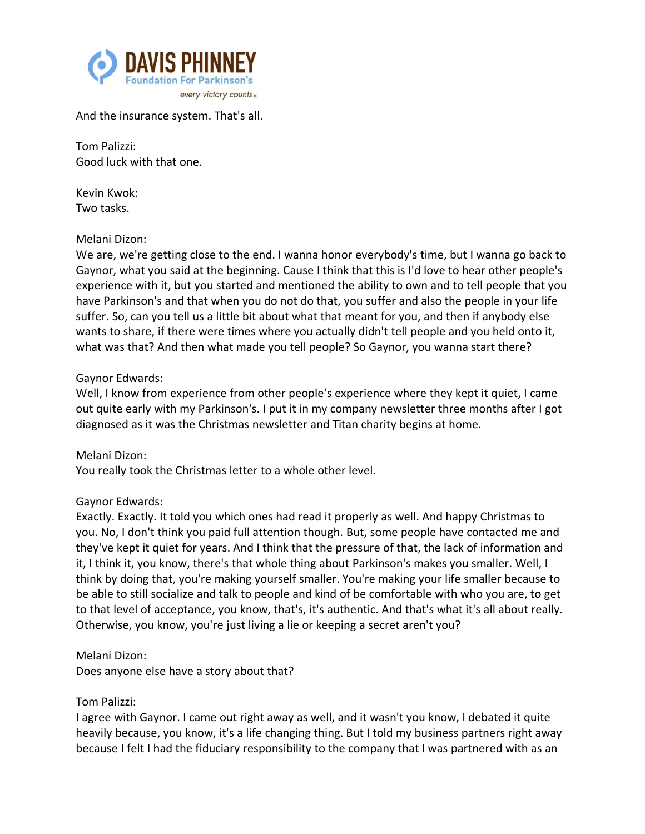

And the insurance system. That's all.

Tom Palizzi: Good luck with that one.

Kevin Kwok: Two tasks.

## Melani Dizon:

We are, we're getting close to the end. I wanna honor everybody's time, but I wanna go back to Gaynor, what you said at the beginning. Cause I think that this is I'd love to hear other people's experience with it, but you started and mentioned the ability to own and to tell people that you have Parkinson's and that when you do not do that, you suffer and also the people in your life suffer. So, can you tell us a little bit about what that meant for you, and then if anybody else wants to share, if there were times where you actually didn't tell people and you held onto it, what was that? And then what made you tell people? So Gaynor, you wanna start there?

#### Gaynor Edwards:

Well, I know from experience from other people's experience where they kept it quiet, I came out quite early with my Parkinson's. I put it in my company newsletter three months after I got diagnosed as it was the Christmas newsletter and Titan charity begins at home.

Melani Dizon: You really took the Christmas letter to a whole other level.

## Gaynor Edwards:

Exactly. Exactly. It told you which ones had read it properly as well. And happy Christmas to you. No, I don't think you paid full attention though. But, some people have contacted me and they've kept it quiet for years. And I think that the pressure of that, the lack of information and it, I think it, you know, there's that whole thing about Parkinson's makes you smaller. Well, I think by doing that, you're making yourself smaller. You're making your life smaller because to be able to still socialize and talk to people and kind of be comfortable with who you are, to get to that level of acceptance, you know, that's, it's authentic. And that's what it's all about really. Otherwise, you know, you're just living a lie or keeping a secret aren't you?

Melani Dizon:

Does anyone else have a story about that?

## Tom Palizzi:

I agree with Gaynor. I came out right away as well, and it wasn't you know, I debated it quite heavily because, you know, it's a life changing thing. But I told my business partners right away because I felt I had the fiduciary responsibility to the company that I was partnered with as an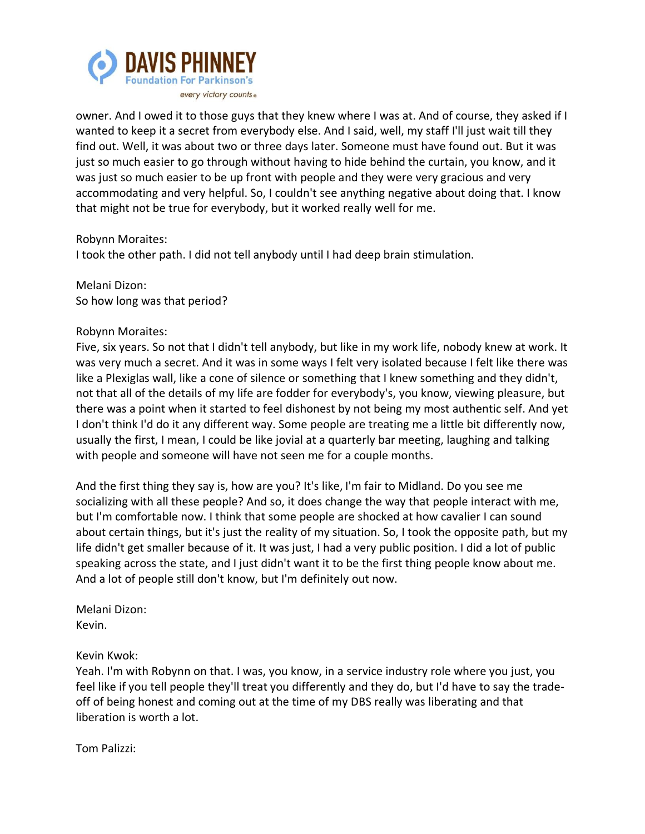

owner. And I owed it to those guys that they knew where I was at. And of course, they asked if I wanted to keep it a secret from everybody else. And I said, well, my staff I'll just wait till they find out. Well, it was about two or three days later. Someone must have found out. But it was just so much easier to go through without having to hide behind the curtain, you know, and it was just so much easier to be up front with people and they were very gracious and very accommodating and very helpful. So, I couldn't see anything negative about doing that. I know that might not be true for everybody, but it worked really well for me.

Robynn Moraites:

I took the other path. I did not tell anybody until I had deep brain stimulation.

Melani Dizon: So how long was that period?

#### Robynn Moraites:

Five, six years. So not that I didn't tell anybody, but like in my work life, nobody knew at work. It was very much a secret. And it was in some ways I felt very isolated because I felt like there was like a Plexiglas wall, like a cone of silence or something that I knew something and they didn't, not that all of the details of my life are fodder for everybody's, you know, viewing pleasure, but there was a point when it started to feel dishonest by not being my most authentic self. And yet I don't think I'd do it any different way. Some people are treating me a little bit differently now, usually the first, I mean, I could be like jovial at a quarterly bar meeting, laughing and talking with people and someone will have not seen me for a couple months.

And the first thing they say is, how are you? It's like, I'm fair to Midland. Do you see me socializing with all these people? And so, it does change the way that people interact with me, but I'm comfortable now. I think that some people are shocked at how cavalier I can sound about certain things, but it's just the reality of my situation. So, I took the opposite path, but my life didn't get smaller because of it. It was just, I had a very public position. I did a lot of public speaking across the state, and I just didn't want it to be the first thing people know about me. And a lot of people still don't know, but I'm definitely out now.

Melani Dizon: Kevin.

## Kevin Kwok:

Yeah. I'm with Robynn on that. I was, you know, in a service industry role where you just, you feel like if you tell people they'll treat you differently and they do, but I'd have to say the tradeoff of being honest and coming out at the time of my DBS really was liberating and that liberation is worth a lot.

Tom Palizzi: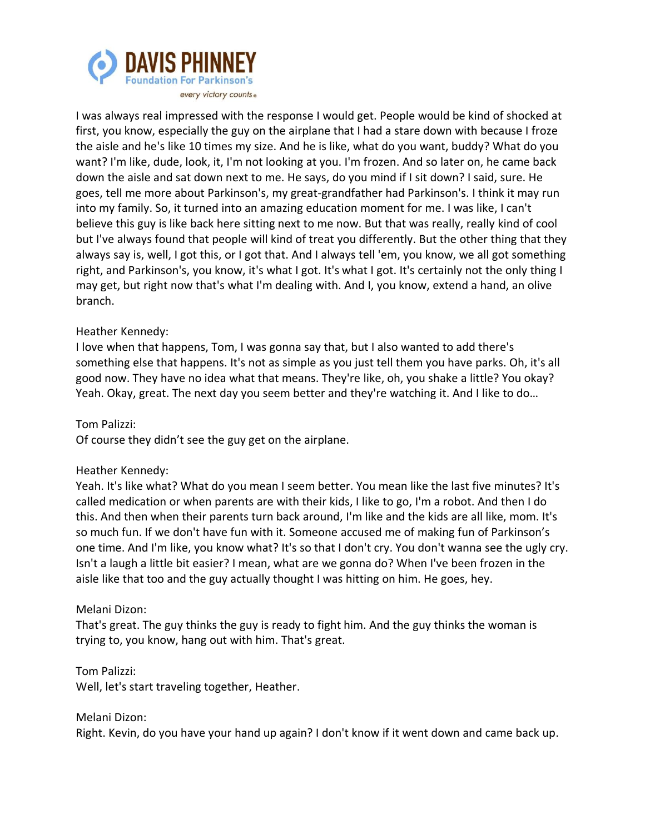

I was always real impressed with the response I would get. People would be kind of shocked at first, you know, especially the guy on the airplane that I had a stare down with because I froze the aisle and he's like 10 times my size. And he is like, what do you want, buddy? What do you want? I'm like, dude, look, it, I'm not looking at you. I'm frozen. And so later on, he came back down the aisle and sat down next to me. He says, do you mind if I sit down? I said, sure. He goes, tell me more about Parkinson's, my great-grandfather had Parkinson's. I think it may run into my family. So, it turned into an amazing education moment for me. I was like, I can't believe this guy is like back here sitting next to me now. But that was really, really kind of cool but I've always found that people will kind of treat you differently. But the other thing that they always say is, well, I got this, or I got that. And I always tell 'em, you know, we all got something right, and Parkinson's, you know, it's what I got. It's what I got. It's certainly not the only thing I may get, but right now that's what I'm dealing with. And I, you know, extend a hand, an olive branch.

## Heather Kennedy:

I love when that happens, Tom, I was gonna say that, but I also wanted to add there's something else that happens. It's not as simple as you just tell them you have parks. Oh, it's all good now. They have no idea what that means. They're like, oh, you shake a little? You okay? Yeah. Okay, great. The next day you seem better and they're watching it. And I like to do…

Tom Palizzi:

Of course they didn't see the guy get on the airplane.

## Heather Kennedy:

Yeah. It's like what? What do you mean I seem better. You mean like the last five minutes? It's called medication or when parents are with their kids, I like to go, I'm a robot. And then I do this. And then when their parents turn back around, I'm like and the kids are all like, mom. It's so much fun. If we don't have fun with it. Someone accused me of making fun of Parkinson's one time. And I'm like, you know what? It's so that I don't cry. You don't wanna see the ugly cry. Isn't a laugh a little bit easier? I mean, what are we gonna do? When I've been frozen in the aisle like that too and the guy actually thought I was hitting on him. He goes, hey.

## Melani Dizon:

That's great. The guy thinks the guy is ready to fight him. And the guy thinks the woman is trying to, you know, hang out with him. That's great.

Tom Palizzi:

Well, let's start traveling together, Heather.

Melani Dizon: Right. Kevin, do you have your hand up again? I don't know if it went down and came back up.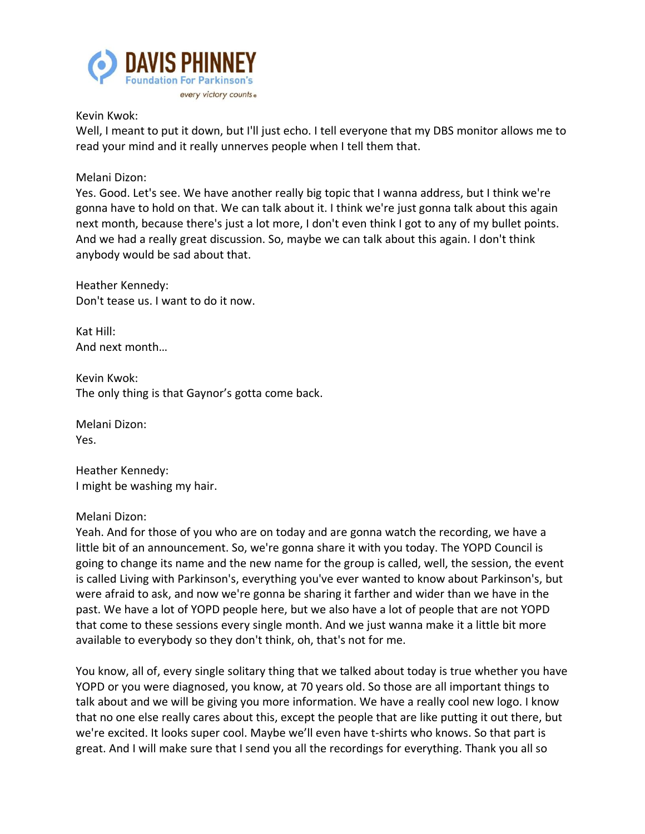

Kevin Kwok:

Well, I meant to put it down, but I'll just echo. I tell everyone that my DBS monitor allows me to read your mind and it really unnerves people when I tell them that.

Melani Dizon:

Yes. Good. Let's see. We have another really big topic that I wanna address, but I think we're gonna have to hold on that. We can talk about it. I think we're just gonna talk about this again next month, because there's just a lot more, I don't even think I got to any of my bullet points. And we had a really great discussion. So, maybe we can talk about this again. I don't think anybody would be sad about that.

Heather Kennedy: Don't tease us. I want to do it now.

Kat Hill: And next month…

Kevin Kwok: The only thing is that Gaynor's gotta come back.

Melani Dizon: Yes.

Heather Kennedy: I might be washing my hair.

## Melani Dizon:

Yeah. And for those of you who are on today and are gonna watch the recording, we have a little bit of an announcement. So, we're gonna share it with you today. The YOPD Council is going to change its name and the new name for the group is called, well, the session, the event is called Living with Parkinson's, everything you've ever wanted to know about Parkinson's, but were afraid to ask, and now we're gonna be sharing it farther and wider than we have in the past. We have a lot of YOPD people here, but we also have a lot of people that are not YOPD that come to these sessions every single month. And we just wanna make it a little bit more available to everybody so they don't think, oh, that's not for me.

You know, all of, every single solitary thing that we talked about today is true whether you have YOPD or you were diagnosed, you know, at 70 years old. So those are all important things to talk about and we will be giving you more information. We have a really cool new logo. I know that no one else really cares about this, except the people that are like putting it out there, but we're excited. It looks super cool. Maybe we'll even have t-shirts who knows. So that part is great. And I will make sure that I send you all the recordings for everything. Thank you all so